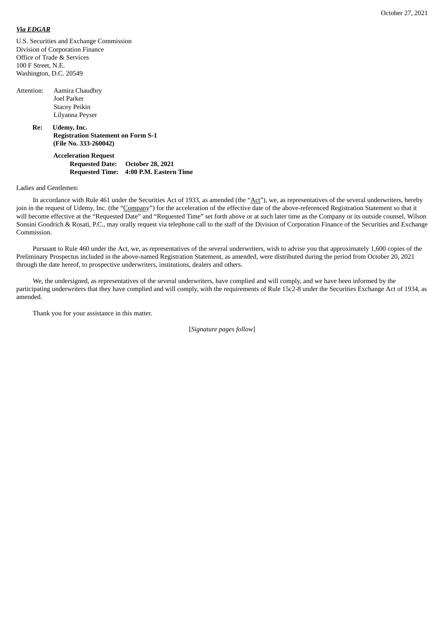### *Via EDGAR*

U.S. Securities and Exchange Commission Division of Corporation Finance Office of Trade & Services 100 F Street, N.E. Washington, D.C. 20549

| Attention: | Aamira Chaudhry      |
|------------|----------------------|
|            | Joel Parker          |
|            | <b>Stacey Peikin</b> |
|            | Lilyanna Peyser      |

**Re: Udemy, Inc. Registration Statement on Form S-1 (File No. 333-260042)**

> **Acceleration Request Requested Date: October 28, 2021 Requested Time: 4:00 P.M. Eastern Time**

Ladies and Gentlemen:

In accordance with Rule 461 under the Securities Act of 1933, as amended (the "Act"), we, as representatives of the several underwriters, hereby join in the request of Udemy, Inc. (the "Company") for the acceleration of the effective date of the above-referenced Registration Statement so that it will become effective at the "Requested Date" and "Requested Time" set forth above or at such later time as the Company or its outside counsel, Wilson Sonsini Goodrich & Rosati, P.C., may orally request via telephone call to the staff of the Division of Corporation Finance of the Securities and Exchange Commission.

Pursuant to Rule 460 under the Act, we, as representatives of the several underwriters, wish to advise you that approximately 1,600 copies of the Preliminary Prospectus included in the above-named Registration Statement, as amended, were distributed during the period from October 20, 2021 through the date hereof, to prospective underwriters, institutions, dealers and others.

We, the undersigned, as representatives of the several underwriters, have complied and will comply, and we have been informed by the participating underwriters that they have complied and will comply, with the requirements of Rule 15c2-8 under the Securities Exchange Act of 1934, as amended.

Thank you for your assistance in this matter.

[*Signature pages follow*]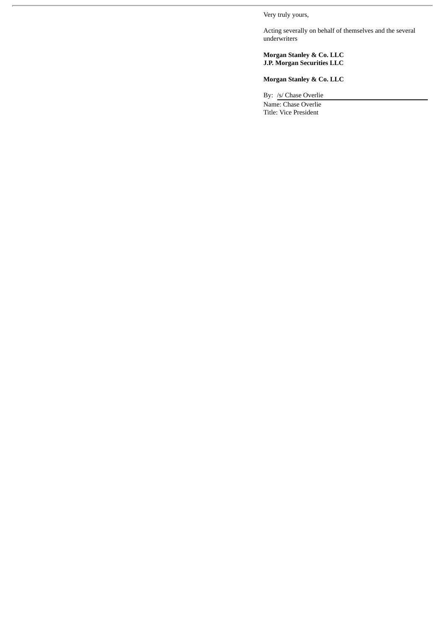Very truly yours,

Acting severally on behalf of themselves and the several underwriters

### **Morgan Stanley & Co. LLC J.P. Morgan Securities LLC**

## **Morgan Stanley & Co. LLC**

By: /s/ Chase Overlie

Name: Chase Overlie Title: Vice President